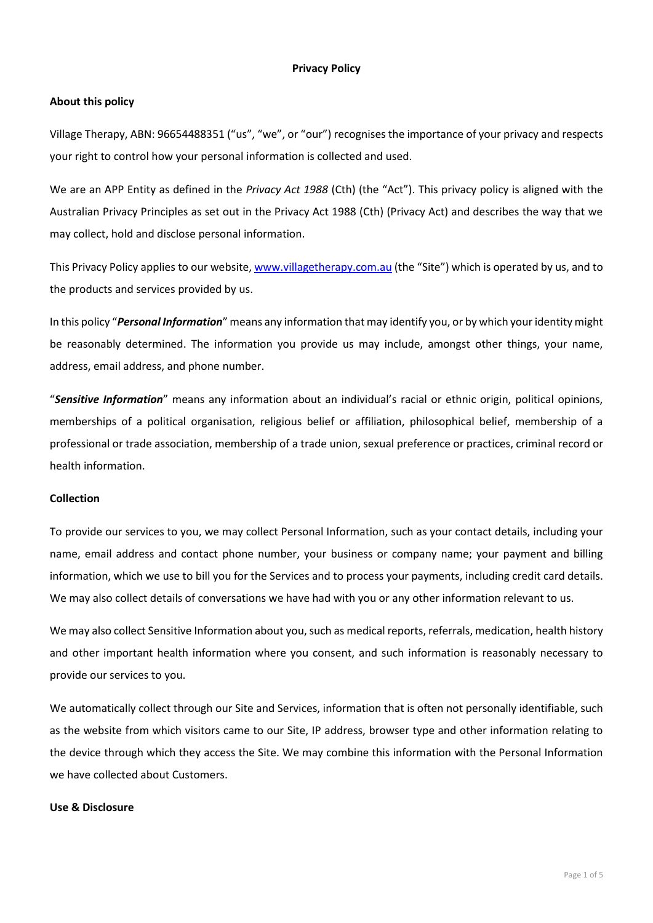### **Privacy Policy**

## **About this policy**

Village Therapy, ABN: 96654488351 ("us", "we", or "our") recognises the importance of your privacy and respects your right to control how your personal information is collected and used.

We are an APP Entity as defined in the *Privacy Act 1988* (Cth) (the "Act"). This privacy policy is aligned with the Australian Privacy Principles as set out in the Privacy Act 1988 (Cth) (Privacy Act) and describes the way that we may collect, hold and disclose personal information.

This Privacy Policy applies to our website, [www.villagetherapy.com.au](http://www.villagetherapy.com.au/) (the "Site") which is operated by us, and to the products and services provided by us.

In this policy "*Personal Information*" means any information that may identify you, or by which your identity might be reasonably determined. The information you provide us may include, amongst other things, your name, address, email address, and phone number.

"*Sensitive Information*" means any information about an individual's racial or ethnic origin, political opinions, memberships of a political organisation, religious belief or affiliation, philosophical belief, membership of a professional or trade association, membership of a trade union, sexual preference or practices, criminal record or health information.

### **Collection**

To provide our services to you, we may collect Personal Information, such as your contact details, including your name, email address and contact phone number, your business or company name; your payment and billing information, which we use to bill you for the Services and to process your payments, including credit card details. We may also collect details of conversations we have had with you or any other information relevant to us.

We may also collect Sensitive Information about you, such as medical reports, referrals, medication, health history and other important health information where you consent, and such information is reasonably necessary to provide our services to you.

We automatically collect through our Site and Services, information that is often not personally identifiable, such as the website from which visitors came to our Site, IP address, browser type and other information relating to the device through which they access the Site. We may combine this information with the Personal Information we have collected about Customers.

#### **Use & Disclosure**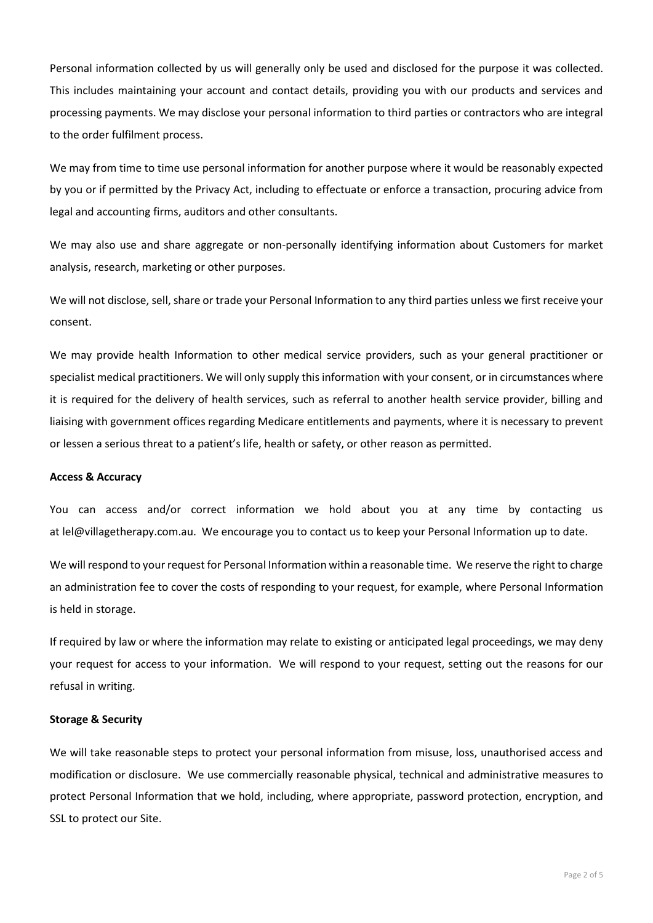Personal information collected by us will generally only be used and disclosed for the purpose it was collected. This includes maintaining your account and contact details, providing you with our products and services and processing payments. We may disclose your personal information to third parties or contractors who are integral to the order fulfilment process.

We may from time to time use personal information for another purpose where it would be reasonably expected by you or if permitted by the Privacy Act, including to effectuate or enforce a transaction, procuring advice from legal and accounting firms, auditors and other consultants.

We may also use and share aggregate or non-personally identifying information about Customers for market analysis, research, marketing or other purposes.

We will not disclose, sell, share or trade your Personal Information to any third parties unless we first receive your consent.

We may provide health Information to other medical service providers, such as your general practitioner or specialist medical practitioners. We will only supply this information with your consent, or in circumstances where it is required for the delivery of health services, such as referral to another health service provider, billing and liaising with government offices regarding Medicare entitlements and payments, where it is necessary to prevent or lessen a serious threat to a patient's life, health or safety, or other reason as permitted.

#### **Access & Accuracy**

You can access and/or correct information we hold about you at any time by contacting us at lel@villagetherapy.com.au. We encourage you to contact us to keep your Personal Information up to date.

We will respond to your request for Personal Information within a reasonable time. We reserve the right to charge an administration fee to cover the costs of responding to your request, for example, where Personal Information is held in storage.

If required by law or where the information may relate to existing or anticipated legal proceedings, we may deny your request for access to your information. We will respond to your request, setting out the reasons for our refusal in writing.

#### **Storage & Security**

We will take reasonable steps to protect your personal information from misuse, loss, unauthorised access and modification or disclosure. We use commercially reasonable physical, technical and administrative measures to protect Personal Information that we hold, including, where appropriate, password protection, encryption, and SSL to protect our Site.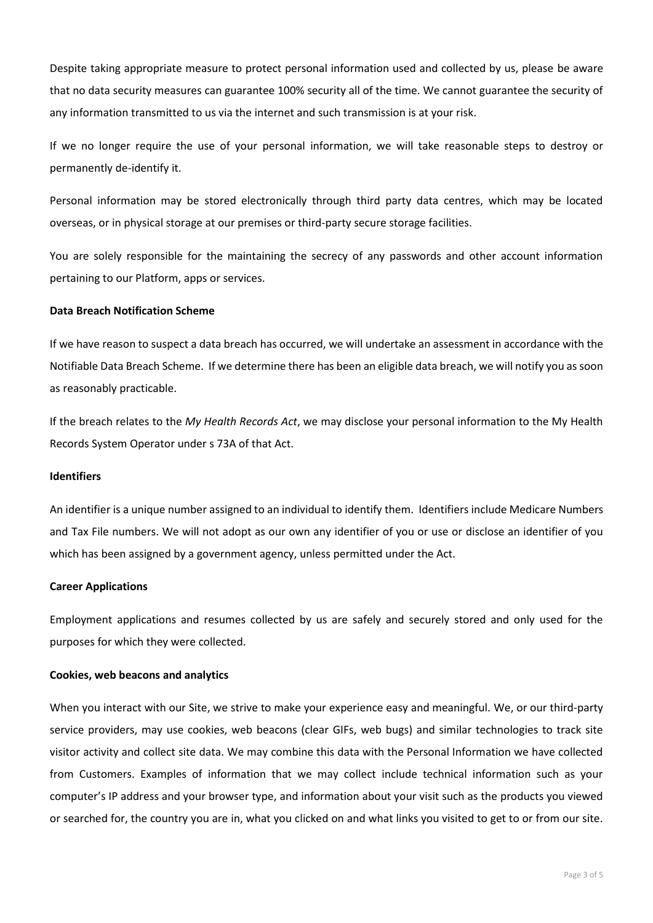Despite taking appropriate measure to protect personal information used and collected by us, please be aware that no data security measures can guarantee 100% security all of the time. We cannot guarantee the security of any information transmitted to us via the internet and such transmission is at your risk.

If we no longer require the use of your personal information, we will take reasonable steps to destroy or permanently de-identify it.

Personal information may be stored electronically through third party data centres, which may be located overseas, or in physical storage at our premises or third-party secure storage facilities.

You are solely responsible for the maintaining the secrecy of any passwords and other account information pertaining to our Platform, apps or services.

### **Data Breach Notification Scheme**

If we have reason to suspect a data breach has occurred, we will undertake an assessment in accordance with the Notifiable Data Breach Scheme. If we determine there has been an eligible data breach, we will notify you as soon as reasonably practicable.

If the breach relates to the *My Health Records Act*, we may disclose your personal information to the My Health Records System Operator under s 73A of that Act.

#### **Identifiers**

An identifier is a unique number assigned to an individual to identify them. Identifiers include Medicare Numbers and Tax File numbers. We will not adopt as our own any identifier of you or use or disclose an identifier of you which has been assigned by a government agency, unless permitted under the Act.

## **Career Applications**

Employment applications and resumes collected by us are safely and securely stored and only used for the purposes for which they were collected.

#### **Cookies, web beacons and analytics**

When you interact with our Site, we strive to make your experience easy and meaningful. We, or our third-party service providers, may use cookies, web beacons (clear GIFs, web bugs) and similar technologies to track site visitor activity and collect site data. We may combine this data with the Personal Information we have collected from Customers. Examples of information that we may collect include technical information such as your computer's IP address and your browser type, and information about your visit such as the products you viewed or searched for, the country you are in, what you clicked on and what links you visited to get to or from our site.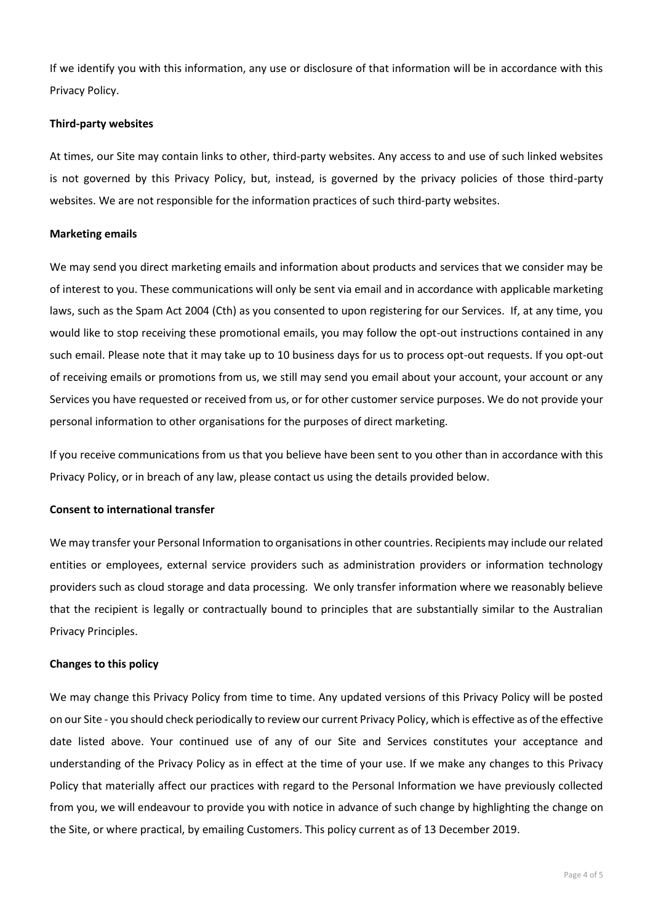If we identify you with this information, any use or disclosure of that information will be in accordance with this Privacy Policy.

## **Third-party websites**

At times, our Site may contain links to other, third-party websites. Any access to and use of such linked websites is not governed by this Privacy Policy, but, instead, is governed by the privacy policies of those third-party websites. We are not responsible for the information practices of such third-party websites.

# **Marketing emails**

We may send you direct marketing emails and information about products and services that we consider may be of interest to you. These communications will only be sent via email and in accordance with applicable marketing laws, such as the Spam Act 2004 (Cth) as you consented to upon registering for our Services. If, at any time, you would like to stop receiving these promotional emails, you may follow the opt-out instructions contained in any such email. Please note that it may take up to 10 business days for us to process opt-out requests. If you opt-out of receiving emails or promotions from us, we still may send you email about your account, your account or any Services you have requested or received from us, or for other customer service purposes. We do not provide your personal information to other organisations for the purposes of direct marketing.

If you receive communications from us that you believe have been sent to you other than in accordance with this Privacy Policy, or in breach of any law, please contact us using the details provided below.

## **Consent to international transfer**

We may transfer your Personal Information to organisations in other countries. Recipients may include our related entities or employees, external service providers such as administration providers or information technology providers such as cloud storage and data processing. We only transfer information where we reasonably believe that the recipient is legally or contractually bound to principles that are substantially similar to the Australian Privacy Principles.

## **Changes to this policy**

We may change this Privacy Policy from time to time. Any updated versions of this Privacy Policy will be posted on our Site - you should check periodically to review our current Privacy Policy, which is effective as of the effective date listed above. Your continued use of any of our Site and Services constitutes your acceptance and understanding of the Privacy Policy as in effect at the time of your use. If we make any changes to this Privacy Policy that materially affect our practices with regard to the Personal Information we have previously collected from you, we will endeavour to provide you with notice in advance of such change by highlighting the change on the Site, or where practical, by emailing Customers. This policy current as of 13 December 2019.